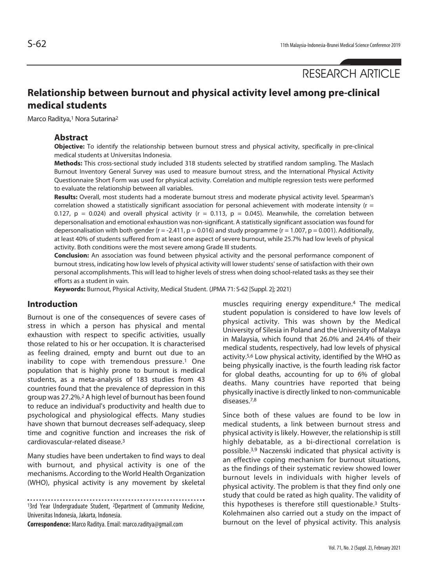RESEARCH ARTICLE

# **Relationship between burnout and physical activity level among pre-clinical medical students**

Marco Raditya,<sup>1</sup> Nora Sutarina<sup>2</sup>

#### **Abstract**

**Objective:** To identify the relationship between burnout stress and physical activity, specifically in pre-clinical medical students at Universitas Indonesia.

**Methods:** This cross-sectional study included 318 students selected by stratified random sampling. The Maslach Burnout Inventory General Survey was used to measure burnout stress, and the International Physical Activity Questionnaire Short Form was used for physical activity. Correlation and multiple regression tests were performed to evaluate the relationship between all variables.

**Results:** Overall, most students had a moderate burnout stress and moderate physical activity level. Spearman's correlation showed a statistically significant association for personal achievement with moderate intensity ( $r =$ 0.127,  $p = 0.024$ ) and overall physical activity ( $r = 0.113$ ,  $p = 0.045$ ). Meanwhile, the correlation between depersonalisation and emotional exhaustion was non-significant. A statistically significant association was found for depersonalisation with both gender ( $r = -2.411$ ,  $p = 0.016$ ) and study programme ( $r = 1.007$ ,  $p = 0.001$ ). Additionally, at least 40% of students suffered from at least one aspect of severe burnout, while 25.7% had low levels of physical activity. Both conditions were the most severe among Grade III students.

**Conclusion:** An association was found between physical activity and the personal performance component of burnout stress, indicating how low levels of physical activity will lower students' sense of satisfaction with their own personal accomplishments. This will lead to higher levels of stress when doing school-related tasks as they see their efforts as a student in vain.

**Keywords:** Burnout, Physical Activity, Medical Student. (JPMA 71: S-62 [Suppl. 2]; 2021)

# **Introduction**

Burnout is one of the consequences of severe cases of stress in which a person has physical and mental exhaustion with respect to specific activities, usually those related to his or her occupation. It is characterised as feeling drained, empty and burnt out due to an inability to cope with tremendous pressure.<sup>1</sup> One population that is highly prone to burnout is medical students, as a meta-analysis of 183 studies from 43 countries found that the prevalence of depression in this group was 27.2%.2 A high level of burnout has been found to reduce an individual's productivity and health due to psychological and physiological effects. Many studies have shown that burnout decreases self-adequacy, sleep time and cognitive function and increases the risk of cardiovascular-related disease.3

Many studies have been undertaken to find ways to deal with burnout, and physical activity is one of the mechanisms. According to the World Health Organization (WHO), physical activity is any movement by skeletal

13rd Year Undergraduate Student, 2Department of Community Medicine, Universitas Indonesia, Jakarta, Indonesia.

**Correspondence:** Marco Raditya. Email: marco.raditya@gmail.com

muscles requiring energy expenditure.4 The medical student population is considered to have low levels of physical activity. This was shown by the Medical University of Silesia in Poland and the University of Malaya in Malaysia, which found that 26.0% and 24.4% of their medical students, respectively, had low levels of physical activity.5,6 Low physical activity, identified by the WHO as being physically inactive, is the fourth leading risk factor for global deaths, accounting for up to 6% of global deaths. Many countries have reported that being physically inactive is directly linked to non-communicable diseases.7,8

Since both of these values are found to be low in medical students, a link between burnout stress and physical activity is likely. However, the relationship is still highly debatable, as a bi-directional correlation is possible.3,9 Naczenski indicated that physical activity is an effective coping mechanism for burnout situations, as the findings of their systematic review showed lower burnout levels in individuals with higher levels of physical activity. The problem is that they find only one study that could be rated as high quality. The validity of this hypotheses is therefore still questionable.3 Stults-Kolehmainen also carried out a study on the impact of burnout on the level of physical activity. This analysis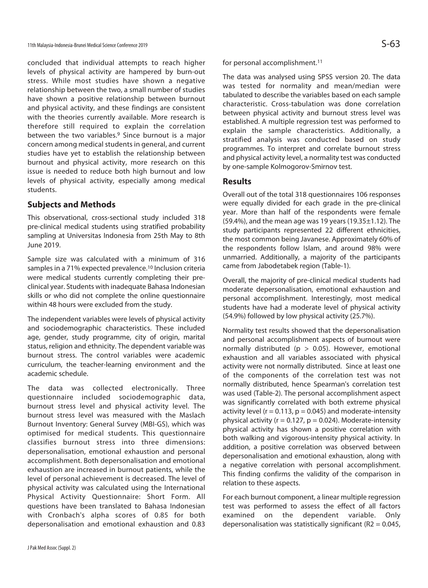concluded that individual attempts to reach higher levels of physical activity are hampered by burn-out stress. While most studies have shown a negative relationship between the two, a small number of studies have shown a positive relationship between burnout and physical activity, and these findings are consistent with the theories currently available. More research is therefore still required to explain the correlation between the two variables.<sup>9</sup> Since burnout is a major concern among medical students in general, and current studies have yet to establish the relationship between burnout and physical activity, more research on this issue is needed to reduce both high burnout and low levels of physical activity, especially among medical students.

# **Subjects and Methods**

This observational, cross-sectional study included 318 pre-clinical medical students using stratified probability sampling at Universitas Indonesia from 25th May to 8th June 2019.

Sample size was calculated with a minimum of 316 samples in a 71% expected prevalence.10 Inclusion criteria were medical students currently completing their preclinical year. Students with inadequate Bahasa Indonesian skills or who did not complete the online questionnaire within 48 hours were excluded from the study.

The independent variables were levels of physical activity and sociodemographic characteristics. These included age, gender, study programme, city of origin, marital status, religion and ethnicity. The dependent variable was burnout stress. The control variables were academic curriculum, the teacher-learning environment and the academic schedule.

The data was collected electronically. Three questionnaire included sociodemographic data, burnout stress level and physical activity level. The burnout stress level was measured with the Maslach Burnout Inventory: General Survey (MBI-GS), which was optimised for medical students. This questionnaire classifies burnout stress into three dimensions: depersonalisation, emotional exhaustion and personal accomplishment. Both depersonalisation and emotional exhaustion are increased in burnout patients, while the level of personal achievement is decreased. The level of physical activity was calculated using the International Physical Activity Questionnaire: Short Form. All questions have been translated to Bahasa Indonesian with Cronbach's alpha scores of 0.85 for both depersonalisation and emotional exhaustion and 0.83

for personal accomplishment.<sup>11</sup>

The data was analysed using SPSS version 20. The data was tested for normality and mean/median were tabulated to describe the variables based on each sample characteristic. Cross-tabulation was done correlation between physical activity and burnout stress level was established. A multiple regression test was performed to explain the sample characteristics. Additionally, a stratified analysis was conducted based on study programmes. To interpret and correlate burnout stress and physical activity level, a normality test was conducted by one-sample Kolmogorov-Smirnov test.

# **Results**

Overall out of the total 318 questionnaires 106 responses were equally divided for each grade in the pre-clinical year. More than half of the respondents were female (59.4%), and the mean age was 19 years (19.35 $\pm$ 1.12). The study participants represented 22 different ethnicities, the most common being Javanese. Approximately 60% of the respondents follow Islam, and around 98% were unmarried. Additionally, a majority of the participants came from Jabodetabek region (Table-1).

Overall, the majority of pre-clinical medical students had moderate depersonalisation, emotional exhaustion and personal accomplishment. Interestingly, most medical students have had a moderate level of physical activity (54.9%) followed by low physical activity (25.7%).

Normality test results showed that the depersonalisation and personal accomplishment aspects of burnout were normally distributed ( $p > 0.05$ ). However, emotional exhaustion and all variables associated with physical activity were not normally distributed. Since at least one of the components of the correlation test was not normally distributed, hence Spearman's correlation test was used (Table-2). The personal accomplishment aspect was significantly correlated with both extreme physical activity level ( $r = 0.113$ ,  $p = 0.045$ ) and moderate-intensity physical activity ( $r = 0.127$ ,  $p = 0.024$ ). Moderate-intensity physical activity has shown a positive correlation with both walking and vigorous-intensity physical activity. In addition, a positive correlation was observed between depersonalisation and emotional exhaustion, along with a negative correlation with personal accomplishment. This finding confirms the validity of the comparison in relation to these aspects.

For each burnout component, a linear multiple regression test was performed to assess the effect of all factors examined on the dependent variable. Only depersonalisation was statistically significant ( $R2 = 0.045$ ,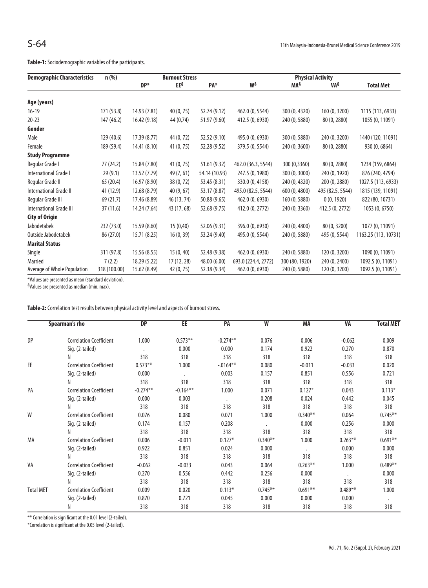| <b>Demographic Characteristics</b> | n (%)        | <b>Burnout Stress</b> |             |               | <b>Physical Activity</b> |                |                  |                      |  |
|------------------------------------|--------------|-----------------------|-------------|---------------|--------------------------|----------------|------------------|----------------------|--|
|                                    |              | DP*                   | EE§         | PA*           | W§                       | MA§            | VA§              | <b>Total Met</b>     |  |
| Age (years)                        |              |                       |             |               |                          |                |                  |                      |  |
| $16-19$                            | 171 (53.8)   | 14.93 (7.81)          | 40 (0, 75)  | 52.74 (9.12)  | 462.0 (0, 5544)          | 300 (0, 4320)  | 160 (0, 3200)    | 1115 (113, 6933)     |  |
| $20 - 23$                          | 147 (46.2)   | 16.42(9.18)           | 44 (0,74)   | 51.97 (9.60)  | 412.5 (0, 6930)          | 240 (0, 5880)  | 80 (0, 2880)     | 1055 (0, 11091)      |  |
| Gender                             |              |                       |             |               |                          |                |                  |                      |  |
| Male                               | 129 (40.6)   | 17.39 (8.77)          | 44 (0, 72)  | 52.52 (9.10)  | 495.0 (0, 6930)          | 300 (0, 5880)  | 240 (0, 3200)    | 1440 (120, 11091)    |  |
| Female                             | 189 (59.4)   | 14.41 (8.10)          | 41 (0, 75)  | 52.28 (9.52)  | 379.5 (0, 5544)          | 240 (0, 3600)  | 80 (0, 2880)     | 930 (0, 6864)        |  |
| <b>Study Programme</b>             |              |                       |             |               |                          |                |                  |                      |  |
| Regular Grade I                    | 77 (24.2)    | 15.84 (7.80)          | 41(0, 75)   | 51.61 (9.32)  | 462.0 (36.3, 5544)       | 300 (0,3360)   | 80 (0, 2880)     | 1234 (159, 6864)     |  |
| International Grade I              | 29(9.1)      | 13.52 (7.79)          | 49 (7, 61)  | 54.14 (10.93) | 247.5 (0, 1980)          | 300 (0, 3000)  | 240 (0, 1920)    | 876 (240, 4794)      |  |
| Regular Grade II                   | 65 (20.4)    | 16.97 (8.90)          | 38 (0, 72)  | 53.45 (8.31)  | 330.0 (0, 4158)          | 240 (0, 4320)  | 200 (0, 2880)    | 1027.5 (113, 6933)   |  |
| International Grade II             | 41 (12.9)    | 12.68 (8.79)          | 40 (9, 67)  | 53.17 (8.87)  | 495.0 (82.5, 5544)       | 600 (0, 4800)  | 495 (82.5, 5544) | 1815 (139, 11091)    |  |
| Regular Grade III                  | 69 (21.7)    | 17.46 (8.89)          | 46 (13, 74) | 50.88 (9.65)  | 462.0 (0, 6930)          | 160 (0, 5880)  | 0(0, 1920)       | 822 (80, 10731)      |  |
| International Grade III            | 37(11.6)     | 14.24 (7.64)          | 43 (17, 68) | 52.68 (9.75)  | 412.0 (0, 2772)          | 240 (0, 3360)  | 412.5 (0, 2772)  | 1053 (0, 6750)       |  |
| <b>City of Origin</b>              |              |                       |             |               |                          |                |                  |                      |  |
| Jabodetabek                        | 232 (73.0)   | 15.59(8.60)           | 15(0,40)    | 52.06 (9.31)  | 396.0 (0, 6930)          | 240 (0, 4800)  | 80 (0, 3200)     | 1077 (0, 11091)      |  |
| Outside Jabodetabek                | 86 (27.0)    | 15.71 (8.25)          | 16(0, 39)   | 53.24 (9.40)  | 495.0 (0, 5544)          | 240 (0, 5880)  | 495 (0, 5544)    | 1163.25 (113, 10731) |  |
| <b>Marital Status</b>              |              |                       |             |               |                          |                |                  |                      |  |
| Single                             | 311 (97.8)   | 15.56 (8.55)          | 15(0, 40)   | 52.48 (9.38)  | 462.0 (0, 6930)          | 240 (0, 5880)  | 120 (0, 3200)    | 1090 (0, 11091)      |  |
| Married                            | 7(2.2)       | 18.29 (5.22)          | 17 (12, 28) | 48.00 (6.00)  | 693.0 (224.4, 2772)      | 300 (80, 1920) | 240 (0, 2400)    | 1092.5 (0, 11091)    |  |
| Average of Whole Population        | 318 (100.00) | 15.62 (8.49)          | 42 (0, 75)  | 52.38 (9.34)  | 462.0 (0, 6930)          | 240 (0, 5880)  | 120 (0, 3200)    | 1092.5 (0, 11091)    |  |

\*Values are presented as mean (standard deviation).

§Values are presented as median (min, max).

| Table-2: Correlation test results between physical activity level and aspects of burnout stress. |  |  |
|--------------------------------------------------------------------------------------------------|--|--|
|--------------------------------------------------------------------------------------------------|--|--|

| Spearman's rho   |                                | <b>DP</b>  | EE.        | PA                   | W          | MA         | VA        | <b>Total MET</b> |
|------------------|--------------------------------|------------|------------|----------------------|------------|------------|-----------|------------------|
| DP               | <b>Correlation Coefficient</b> | 1.000      | $0.573**$  | $-0.274**$           | 0.076      | 0.006      | $-0.062$  | 0.009            |
|                  | Sig. (2-tailed)                | $\cdot$    | 0.000      | 0.000                | 0.174      | 0.922      | 0.270     | 0.870            |
|                  | N                              | 318        | 318        | 318                  | 318        | 318        | 318       | 318              |
| EE               | <b>Correlation Coefficient</b> | $0.573**$  | 1.000      | $-.0164**$           | 0.080      | $-0.011$   | $-0.033$  | 0.020            |
|                  | Sig. (2-tailed)                | 0.000      | $\cdot$    | 0.003                | 0.157      | 0.851      | 0.556     | 0.721            |
|                  | N                              | 318        | 318        | 318                  | 318        | 318        | 318       | 318              |
| PA               | <b>Correlation Coefficient</b> | $-0.274**$ | $-0.164**$ | 1.000                | 0.071      | $0.127*$   | 0.043     | $0.113*$         |
|                  | Sig. (2-tailed)                | 0.000      | 0.003      | $\ddot{\phantom{0}}$ | 0.208      | 0.024      | 0.442     | 0.045            |
|                  | N                              | 318        | 318        | 318                  | 318        | 318        | 318       | 318              |
| W                | <b>Correlation Coefficient</b> | 0.076      | 0.080      | 0.071                | 1.000      | $0.340**$  | 0.064     | $0.745***$       |
|                  | Sig. (2-tailed)                | 0.174      | 0.157      | 0.208                |            | 0.000      | 0.256     | 0.000            |
|                  | N                              | 318        | 318        | 318                  | 318        | 318        | 318       | 318              |
| MA               | <b>Correlation Coefficient</b> | 0.006      | $-0.011$   | $0.127*$             | $0.340**$  | 1.000      | $0.263**$ | $0.691**$        |
|                  | Sig. (2-tailed)                | 0.922      | 0.851      | 0.024                | 0.000      |            | 0.000     | 0.000            |
|                  | N                              | 318        | 318        | 318                  | 318        | 318        | 318       | 318              |
| VA               | <b>Correlation Coefficient</b> | $-0.062$   | $-0.033$   | 0.043                | 0.064      | $0.263***$ | 1.000     | $0.489**$        |
|                  | Sig. (2-tailed)                | 0.270      | 0.556      | 0.442                | 0.256      | 0.000      |           | 0.000            |
|                  | N                              | 318        | 318        | 318                  | 318        | 318        | 318       | 318              |
| <b>Total MET</b> | <b>Correlation Coefficient</b> | 0.009      | 0.020      | $0.113*$             | $0.745***$ | $0.691**$  | $0.489**$ | 1.000            |
|                  | Sig. (2-tailed)                | 0.870      | 0.721      | 0.045                | 0.000      | 0.000      | 0.000     | $\cdot$          |
|                  | Ν                              | 318        | 318        | 318                  | 318        | 318        | 318       | 318              |

\*\* Correlation is significant at the 0.01 level (2-tailed).

\*Correlation is significant at the 0.05 level (2-tailed).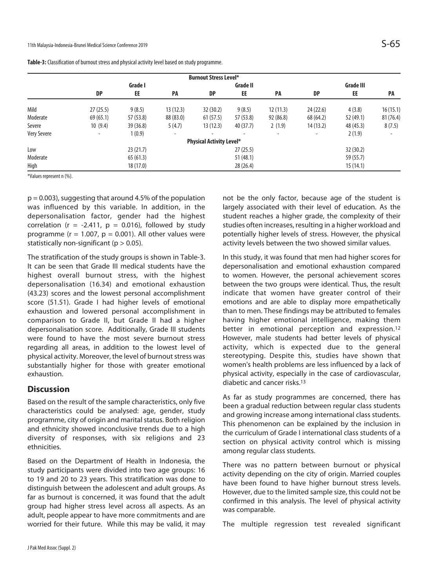| Table-3: Classification of burnout stress and physical activity level based on study programme. |  |  |
|-------------------------------------------------------------------------------------------------|--|--|
|-------------------------------------------------------------------------------------------------|--|--|

|                    |                          |           |                          | <b>Burnout Stress Level*</b>    |           |                          |           |           |           |
|--------------------|--------------------------|-----------|--------------------------|---------------------------------|-----------|--------------------------|-----------|-----------|-----------|
|                    | Grade I                  |           |                          | Grade II                        |           |                          | Grade III |           |           |
|                    | <b>DP</b>                | EE        | <b>PA</b>                | <b>DP</b>                       | EE        | PA                       | DP        | EE        | <b>PA</b> |
| Mild               | 27(25.5)                 | 9(8.5)    | 13(12.3)                 | 32(30.2)                        | 9(8.5)    | 12(11.3)                 | 24 (22.6) | 4(3.8)    | 16(15.1)  |
| Moderate           | 69(65.1)                 | 57 (53.8) | 88 (83.0)                | 61(57.5)                        | 57 (53.8) | 92(86.8)                 | 68 (64.2) | 52 (49.1) | 81(76.4)  |
| Severe             | 10(9.4)                  | 39(36.8)  | 5(4.7)                   | 13(12.3)                        | 40 (37.7) | 2(1.9)                   | 14(13.2)  | 48 (45.3) | 8(7.5)    |
| <b>Very Severe</b> | $\overline{\phantom{a}}$ | 1(0.9)    | $\overline{\phantom{a}}$ |                                 |           | $\overline{\phantom{a}}$ | ۰         | 2(1.9)    |           |
|                    |                          |           |                          | <b>Physical Activity Level*</b> |           |                          |           |           |           |
| Low                |                          | 23(21.7)  |                          |                                 | 27(25.5)  |                          |           | 32(30.2)  |           |
| Moderate           |                          | 65(61.3)  |                          |                                 | 51(48.1)  |                          |           | 59 (55.7) |           |
| High               |                          | 18 (17.0) |                          |                                 | 28(26.4)  |                          |           | 15(14.1)  |           |

\*Values represent n (%).

 $p = 0.003$ ), suggesting that around 4.5% of the population was influenced by this variable. In addition, in the depersonalisation factor, gender had the highest correlation ( $r = -2.411$ ,  $p = 0.016$ ), followed by study programme ( $r = 1.007$ ,  $p = 0.001$ ). All other values were statistically non-significant ( $p > 0.05$ ).

The stratification of the study groups is shown in Table-3. It can be seen that Grade III medical students have the highest overall burnout stress, with the highest depersonalisation (16.34) and emotional exhaustion (43.23) scores and the lowest personal accomplishment score (51.51). Grade I had higher levels of emotional exhaustion and lowered personal accomplishment in comparison to Grade II, but Grade II had a higher depersonalisation score. Additionally, Grade III students were found to have the most severe burnout stress regarding all areas, in addition to the lowest level of physical activity. Moreover, the level of burnout stress was substantially higher for those with greater emotional exhaustion.

# **Discussion**

Based on the result of the sample characteristics, only five characteristics could be analysed: age, gender, study programme, city of origin and marital status. Both religion and ethnicity showed inconclusive trends due to a high diversity of responses, with six religions and 23 ethnicities.

Based on the Department of Health in Indonesia, the study participants were divided into two age groups: 16 to 19 and 20 to 23 years. This stratification was done to distinguish between the adolescent and adult groups. As far as burnout is concerned, it was found that the adult group had higher stress level across all aspects. As an adult, people appear to have more commitments and are worried for their future. While this may be valid, it may not be the only factor, because age of the student is largely associated with their level of education. As the student reaches a higher grade, the complexity of their studies often increases, resulting in a higher workload and potentially higher levels of stress. However, the physical activity levels between the two showed similar values.

In this study, it was found that men had higher scores for depersonalisation and emotional exhaustion compared to women. However, the personal achievement scores between the two groups were identical. Thus, the result indicate that women have greater control of their emotions and are able to display more empathetically than to men. These findings may be attributed to females having higher emotional intelligence, making them better in emotional perception and expression.12 However, male students had better levels of physical activity, which is expected due to the general stereotyping. Despite this, studies have shown that women's health problems are less influenced by a lack of physical activity, especially in the case of cardiovascular, diabetic and cancer risks.13

As far as study programmes are concerned, there has been a gradual reduction between regular class students and growing increase among international class students. This phenomenon can be explained by the inclusion in the curriculum of Grade I international class students of a section on physical activity control which is missing among regular class students.

There was no pattern between burnout or physical activity depending on the city of origin. Married couples have been found to have higher burnout stress levels. However, due to the limited sample size, this could not be confirmed in this analysis. The level of physical activity was comparable.

The multiple regression test revealed significant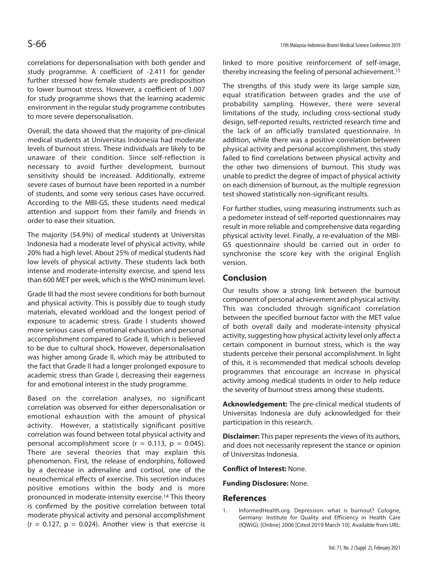correlations for depersonalisation with both gender and study programme. A coefficient of -2.411 for gender further stressed how female students are predisposition to lower burnout stress. However, a coefficient of 1.007 for study programme shows that the learning academic environment in the regular study programme contributes to more severe depersonalisation.

Overall, the data showed that the majority of pre-clinical medical students at Universitas Indonesia had moderate levels of burnout stress. These individuals are likely to be unaware of their condition. Since self-reflection is necessary to avoid further development, burnout sensitivity should be increased. Additionally, extreme severe cases of burnout have been reported in a number of students, and some very serious cases have occurred. According to the MBI-GS, these students need medical attention and support from their family and friends in order to ease their situation.

The majority (54.9%) of medical students at Universitas Indonesia had a moderate level of physical activity, while 20% had a high level. About 25% of medical students had low levels of physical activity. These students lack both intense and moderate-intensity exercise, and spend less than 600 MET per week, which is the WHO minimum level.

Grade III had the most severe conditions for both burnout and physical activity. This is possibly due to tough study materials, elevated workload and the longest period of exposure to academic stress. Grade I students showed more serious cases of emotional exhaustion and personal accomplishment compared to Grade II, which is believed to be due to cultural shock. However, depersonalisation was higher among Grade II, which may be attributed to the fact that Grade II had a longer prolonged exposure to academic stress than Grade I, decreasing their eagerness for and emotional interest in the study programme.

Based on the correlation analyses, no significant correlation was observed for either depersonalisation or emotional exhaustion with the amount of physical activity. However, a statistically significant positive correlation was found between total physical activity and personal accomplishment score ( $r = 0.113$ ,  $p = 0.045$ ). There are several theories that may explain this phenomenon. First, the release of endorphins, followed by a decrease in adrenaline and cortisol, one of the neurochemical effects of exercise. This secretion induces positive emotions within the body and is more pronounced in moderate-intensity exercise.14 This theory is confirmed by the positive correlation between total moderate physical activity and personal accomplishment  $(r = 0.127, p = 0.024)$ . Another view is that exercise is

linked to more positive reinforcement of self-image, thereby increasing the feeling of personal achievement.15

The strengths of this study were its large sample size, equal stratification between grades and the use of probability sampling. However, there were several limitations of the study, including cross-sectional study design, self-reported results, restricted research time and the lack of an officially translated questionnaire. In addition, while there was a positive correlation between physical activity and personal accomplishment, this study failed to find correlations between physical activity and the other two dimensions of burnout. This study was unable to predict the degree of impact of physical activity on each dimension of burnout, as the multiple regression test showed statistically non-significant results.

For further studies, using measuring instruments such as a pedometer instead of self-reported questionnaires may result in more reliable and comprehensive data regarding physical activity level. Finally, a re-evaluation of the MBI-GS questionnaire should be carried out in order to synchronise the score key with the original English version.

# **Conclusion**

Our results show a strong link between the burnout component of personal achievement and physical activity. This was concluded through significant correlation between the specified burnout factor with the MET value of both overall daily and moderate-intensity physical activity, suggesting how physical activity level only affect a certain component in burnout stress, which is the way students perceive their personal accomplishment. In light of this, it is recommended that medical schools develop programmes that encourage an increase in physical activity among medical students in order to help reduce the severity of burnout stress among these students.

**Acknowledgement:** The pre-clinical medical students of Universitas Indonesia are duly acknowledged for their participation in this research.

**Disclaimer:** This paper represents the views of its authors, and does not necessarily represent the stance or opinion of Universitas Indonesia.

**Conflict of Interest:** None.

**Funding Disclosure:** None.

#### **References**

1. InformedHealth.org. Depression: what is burnout? Cologne, Germany: Institute for Quality and Efficiency in Health Care (IQWiG). [Online] 2006 [Cited 2019 March 10]. Available from URL: